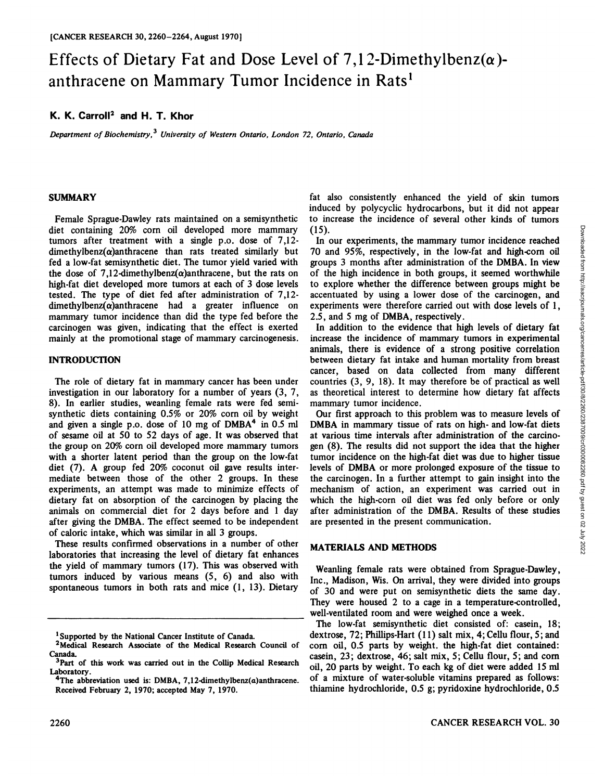# Effects of Dietary Fat and Dose Level of 7,12-Dimethylbenz( $\alpha$ )anthracene on Mammary Tumor Incidence in Rats<sup>1</sup>

## **K. K. Carroll2 and H. T. Khor**

*Department of Biochemistry, University of Western Ontario, London 72, Ontario, Canada*

#### **SUMMARY**

Female Sprague-Dawley rats maintained on a semisynthetic diet containing 20% corn oil developed more mammary tumors after treatment with a single p.o. dose of 7,12  $d$ imethylbenz( $\alpha$ )anthracene than rats treated similarly but fed a low-fat semisynthetic diet. The tumor yield varied with the dose of 7.12-dimethylbenz( $\alpha$ )anthracene, but the rats on high-fat diet developed more tumors at each of 3 dose levels tested. The type of diet fed after administration of 7,12  $dimethylbenz(\alpha)$ anthracene had a greater influence on mammary tumor incidence than did the type fed before the carcinogen was given, indicating that the effect is exerted mainly at the promotional stage of mammary carcinogenesis.

## **INTRODUCTION**

The role of dietary fat in mammary cancer has been under investigation in our laboratory for a number of years (3, 7, 8). In earlier studies, weanling female rats were fed semisynthetic diets containing  $0.5\%$  or  $20\%$  corn oil by weight and given a single p.o. dose of 10 mg of DMBA<sup>4</sup> in 0.5 ml of sesame oil at 50 to 52 days of age. It was observed that the group on 20% corn oil developed more mammary tumors with a shorter latent period than the group on the low-fat diet (7). A group fed 20% coconut oil gave results inter mediate between those of the other 2 groups. In these experiments, an attempt was made to minimize effects of dietary fat on absorption of the carcinogen by placing the animals on commercial diet for 2 days before and 1 day after giving the DMBA. The effect seemed to be independent of caloric intake, which was similar in all 3 groups.

These results confirmed observations in a number of other laboratories that increasing the level of dietary fat enhances the yield of mammary tumors (17). This was observed with tumors induced by various means (5, 6) and also with spontaneous tumors in both rats and mice (1, 13). Dietary

fat also consistently enhanced the yield of skin tumors induced by polycyclic hydrocarbons, but it did not appear to increase the incidence of several other kinds of tumors (15).

70 and 95%, respectively, in the low-fat and high-corn oil groups 3 months after administration of the DMBA. In view of the high incidence in both groups, it seemed worthwhile to explore whether the difference between groups might be accentuated by using a lower dose of the carcinogen, and experiments were therefore carried out with dose levels of 1, 2.5, and 5 mg of DMBA, respectively.

In addition to the evidence that high levels of dietary fat increase the incidence of mammary tumors in experimental animals, there is evidence of a strong positive correlation between dietary fat intake and human mortality from breast cancer, based on data collected from many different countries (3, 9, 18). It may therefore be of practical as well as theoretical interest to determine how dietary fat affects mammary tumor incidence.

15).<br>
In our experiments, the mammary tumor incidence reached  $\alpha$  on and 95%, respectively, in the low-fat and high-corn oil roups 3 months after administration of the DMBA. In view cover of the high incidence in both gr Our first approach to this problem was to measure levels of DMBA in mammary tissue of rats on high- and low-fat diets at various time intervals after administration of the carcino gen (8).The results did not support the idea that the higher tumor incidence on the high-fat diet was due to higher tissue levels of DMBA or more prolonged exposure of the tissue to the carcinogen. In a further attempt to gain insight into the mechanism of action, an experiment was carried out in which the high-corn oil diet was fed only before or only after administration of the DMBA. Results of these studies are presented in the present communication.

## **MATERIALS AND METHODS**

Weanling female rats were obtained from Sprague-Dawley, Inc., Madison, Wis. On arrival, they were divided into groups of 30 and were put on semisynthetic diets the same day. They were housed 2 to a cage in a temperature-controlled, well-ventilated room and were weighed once a week.

The low-fat semisynthetic diet consisted of: casein, 18; dextrose, 72; Phillips-Hart (11) salt mix, 4; Cellu flour, 5; and corn oil, 0.5 parts by weight, the high-fat diet contained: casein, 23; dextrose, 46; salt mix, 5; Cellu flour, 5; and corn oil, 20 parts by weight. To each kg of diet were added 15 ml of a mixture of water-soluble vitamins prepared as follows: thiamine hydrochloride, 0.5 g; pyridoxine hydrochloride, 0.5

<sup>1</sup>Supported by the National Cancer Institute of Canada.

<sup>2</sup>Medical Research Associate of the Medical Research Council of Canada.<br> $3$ Part of this work was carried out in the Collip Medical Research

Laboratory.<br><sup>4</sup>The abbreviation used is: DMBA, 7,12-dimethylbenz(a)anthracene.

Received February 2, 1970; accepted May 7, 1970.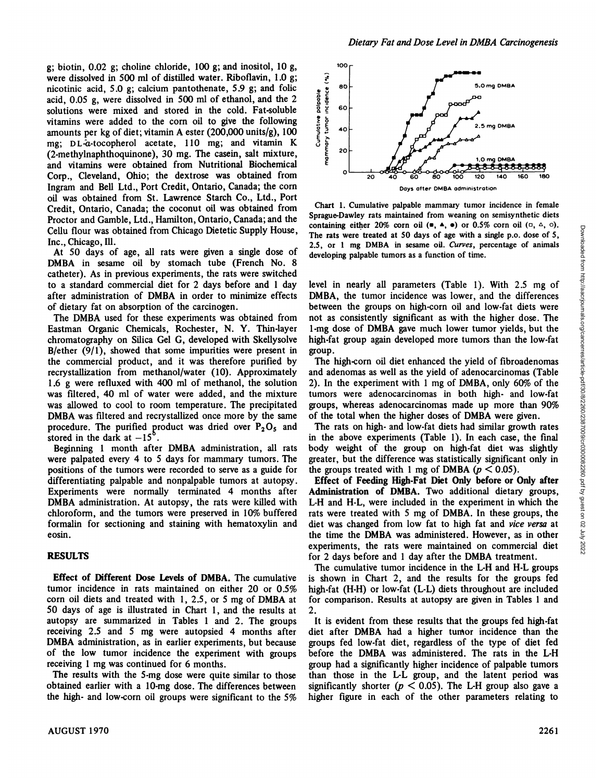g; biotin, 0.02 g; choline chloride, 100 g; and inositol, 10 g, were dissolved in 500 ml of distilled water. Riboflavin, 1.0 g; were dissolved in 500 ml of distilled water. Riboflavin, 1.0 g;<br>
nicotinic acid, 5.0 g; calcium pantothenate, 5.9 g; and folic<br>
acid, 0.05 g, were dissolved in 500 ml of ethanol, and the 2<br>
solutions were mixed and stored acid, 0.05 g, were dissolved in 500 ml of ethanol, and the 2 solutions were mixed and stored in the cold. Fat-soluble vitamins were added to the corn oil to give the following amounts per kg of diet; vitamin A ester (200,000 units/g), 100 mg; DL-a-tocopherol acetate, 110 mg; and vitamin K  $\bar{5} \frac{5}{6}$ <br>(2) methylpanhthospinone), 20 mg The casein selt mixture (2-methylnaphthoquinone), 30 mg. The casein, salt mixture, and vitamins were obtained from Nutritional Biochemical Corp., Cleveland, Ohio; the dextrose was obtained from Ingram and Bell Ltd., Port Credit, Ontario, Canada; the corn oil was obtained from St. Lawrence Starch Co., Ltd., Port Credit, Ontario, Canada; the coconut oil was obtained from Proctor and Gamble, Ltd., Hamilton, Ontario, Canada; and the Cellu flour was obtained from Chicago Dietetic Supply House, Inc., Chicago, Ill.

At 50 days of age, all rats were given a single dose of DMBA in sesame oil by stomach tube (French No. 8 catheter). As in previous experiments, the rats were switched to a standard commercial diet for 2 days before and 1 day after administration of DMBA in order to minimize effects of dietary fat on absorption of the carcinogen.

The DMBA used for these experiments was obtained from Eastman Organic Chemicals, Rochester, N. Y. Thin-layer chromatography on Silica Gel G, developed with Skellysolve B/ether (9/1), showed that some impurities were present in the commercial product, and it was therefore purified by recrystallization from methanol/water (10). Approximately 1.6 g were refluxed with 400 ml of methanol, the solution was filtered, 40 ml of water were added, and the mixture was allowed to cool to room temperature. The precipitated DMBA was filtered and recrystallized once more by the same procedure. The purified product was dried over  $P_2O_5$  and stored in the dark at  $-15^\circ$ .

Beginning 1 month after DMBA administration, all rats were palpated every 4 to 5 days for mammary tumors. The positions of the tumors were recorded to serve as a guide for differentiating palpable and nonpalpable tumors at autopsy. Experiments were normally terminated 4 months after DMBA administration. At autopsy, the rats were killed with chloroform, and the tumors were preserved in 10% buffered formalin for sectioning and staining with hematoxylin and eosin.

## **RESULTS**

Effect of Different Dose Levels of DMBA. The cumulative tumor incidence in rats maintained on either 20 or 0.5% corn oil diets and treated with 1, 2.5, or 5 mg of DMBA at 50 days of age is illustrated in Chart 1, and the results at autopsy are summarized in Tables 1 and 2. The groups receiving 2.5 and 5 mg were autopsied 4 months after DMBA administration, as in earlier experiments, but because of the low tumor incidence the experiment with groups receiving 1 mg was continued for 6 months.

The results with the 5-mg dose were quite similar to those obtained earlier with a 10-mg dose. The differences between the high- and low-corn oil groups were significant to the 5%



Chart 1. Cumulative palpable mammary tumor incidence in female Sprague-Dawley rats maintained from weaning on semisynthetic diets containing either 20% corn oil  $(\bullet, A, \bullet)$  or 0.5% corn oil  $(\circ, \circ)$ . The rats were treated at 50 days of age with a single p.o. dose of 5, developing palpable tumors as a function of time.

containing equivale and vertical of the total when the transmission of the ratios of the members, percentage of animals developing palpable tumors as a function of time.<br>
2.5, or 1 mg DMBA in sesame oil. Curves, percentag level in nearly all parameters (Table 1). With 2.5 mg of DMBA, the tumor incidence was lower, and the differences between the groups on high-corn oil and low-fat diets were not as consistently significant as with the higher dose. The 1-mg dose of DMBA gave much lower tumor yields, but the high-fat group again developed more tumors than the low-fat group.

The high-corn oil diet enhanced the yield of fibroadenomas and adenomas as well as the yield of adenocarcinomas (Table 2). In the experiment with 1 mg of DMBA, only 60% of the tumors were adenocarcinomas in both high- and low-fat groups, whereas adenocarcinomas made up more than 90% of the total when the higher doses of DMBA were given.

The rats on high- and low-fat diets had similar growth rates in the above experiments (Table 1). In each case, the final body weight of the group on high-fat diet was slightly greater, but the difference was statistically significant only in the groups treated with 1 mg of DMBA ( $p < 0.05$ ).

Effect of Feeding High-Fat Diet Only before or Only after Administration of DMBA. Two additional dietary groups, L-H and H-L, were included in the experiment in which the rats were treated with 5 mg of DMBA. In these groups, the diet was changed from low fat to high fat and vice versa at the time the DMBA was administered. However, as in other experiments, the rats were maintained on commercial diet for 2 days before and 1 day after the DMBA treatment.

The cumulative tumor incidence in the L-H and H-L groups is shown in Chart 2, and the results for the groups fed high-fat (H-H) or low-fat (L-L) diets throughout are included for comparison. Results at autopsy are given in Tables 1 and 2.

It is evident from these results that the groups fed high-fat diet after DMBA had a higher turnor incidence than the groups fed low-fat diet, regardless of the type of diet fed before the DMBA was administered. The rats in the L-H group had a significantly higher incidence of palpable tumors than those in the L-L group, and the latent period was significantly shorter ( $p < 0.05$ ). The L-H group also gave a higher figure in each of the other parameters relating to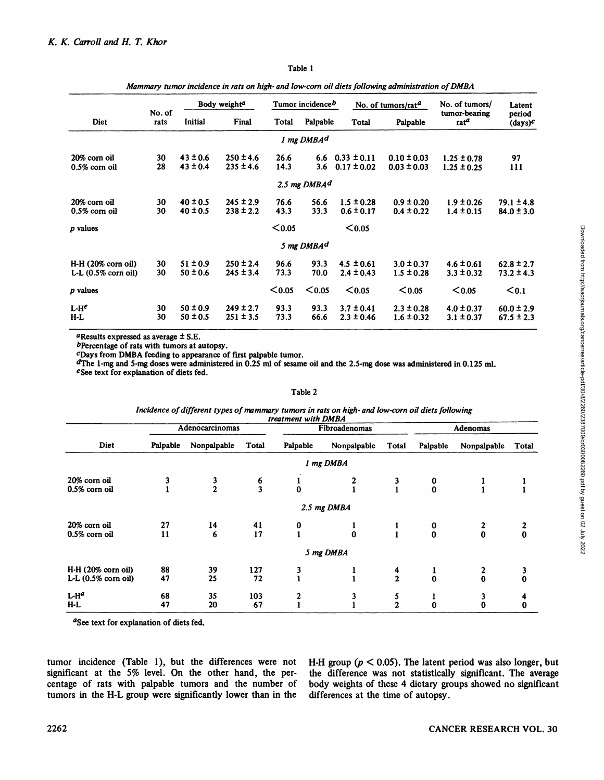| <b>Diet</b>                    | No. of<br>rats | Body weight <sup>a</sup> |               | Tumor incidence <sup>b</sup> |                        | No. of tumors/ $rat^d$ |                 | No. of tumors/           | Latent               |
|--------------------------------|----------------|--------------------------|---------------|------------------------------|------------------------|------------------------|-----------------|--------------------------|----------------------|
|                                |                | Initial                  | Final         | Total                        | Palpable               | Total                  | Palpable        | tumor-bearing<br>$rat^a$ | period<br>$(days)^c$ |
|                                |                |                          |               |                              | 1 mg DMBA <sup>d</sup> |                        |                 |                          |                      |
| 20% corn oil                   | 30             | $43 \pm 0.6$             | $250 \pm 4.6$ | 26.6                         |                        | 6.6 $0.33 \pm 0.11$    | $0.10 \pm 0.03$ | $1.25 \pm 0.78$          | 97                   |
| $0.5\%$ corn oil               | 28             | $43 \pm 0.4$             | $235 \pm 4.6$ | 14.3                         | 3.6                    | $0.17 \pm 0.02$        | $0.03 \pm 0.03$ | $1.25 \pm 0.25$          | 111                  |
|                                |                |                          |               |                              | 2.5 mg $DMBAd$         |                        |                 |                          |                      |
| 20% corn oil                   | 30             | $40 \pm 0.5$             | $245 \pm 2.9$ | 76.6                         | 56.6                   | $1.5 \pm 0.28$         | $0.9 \pm 0.20$  | $1.9 \pm 0.26$           | $79.1 \pm 4.8$       |
| $0.5\%$ corn oil               | 30             | $40 \pm 0.5$             | $238 \pm 2.2$ | 43.3                         | 33.3                   | $0.6 \pm 0.17$         | $0.4 \pm 0.22$  | $1.4 \pm 0.15$           | $84.0 \pm 3.0$       |
| p values                       |                |                          |               | $0.05$                       |                        | $0.05$                 |                 |                          |                      |
|                                |                |                          |               |                              | 5 mg DMBA <sup>d</sup> |                        |                 |                          |                      |
| $H-H (20% \text{ corn oil})$   | 30             | $51 \pm 0.9$             | $250 \pm 2.4$ | 96.6                         | 93.3                   | $4.5 \pm 0.61$         | $3.0 \pm 0.37$  | $4.6 \pm 0.61$           | $62.8 \pm 2.7$       |
| L-L $(0.5\% \text{ corn oil})$ | 30             | $50 \pm 0.6$             | $245 \pm 3.4$ | 73.3                         | 70.0                   | $2.4 \pm 0.43$         | $1.5 \pm 0.28$  | $3.3 \pm 0.32$           | $73.2 \pm 4.3$       |
| $p$ values                     |                |                          |               | $0.05$                       | $0.05$                 | $0.05$                 | $0.05$          | $0.05$                   | $0.1$                |
| $L-He$                         | 30             | $50 \pm 0.9$             | $249 \pm 2.7$ | 93.3                         | 93.3                   | $3.7 \pm 0.41$         | $2.3 \pm 0.28$  | $4.0 \pm 0.37$           | $60.0 \pm 2.9$       |
| $H-L$                          | 30             | $50 \pm 0.5$             | $251 \pm 3.5$ | 73.3                         | 66.6                   | $2.3 \pm 0.46$         | $1.6 \pm 0.32$  | $3.1 \pm 0.37$           | $67.5 \pm 2.3$       |

#### Table 1

## *Mammary tumor incidence in rats on high- and low-corn oil diets following administration ofDMBA*

"Results expressed as average ±S.E.

bPercentage of rats with tumors at autopsy.

cDays from DMBA feeding to appearance of first palpable tumor.

dThe 1-mg and 5-mg doses were administered in 0.25 ml of sesame oil and the 2.5-mg dose was administered in 0.125 ml. eSee text for explanation of diets fed.

#### Table 2

#### *Incidence of different types of mammary tumors in rats on high- and low-corn oil diets following treatment with DMBA*

| Diet                         |          | Adenocarcinomas |               | Fibroadenomas |                |               | Adenomas                                     |                                      |               |
|------------------------------|----------|-----------------|---------------|---------------|----------------|---------------|----------------------------------------------|--------------------------------------|---------------|
|                              | Palpable | Nonpalpable     | <b>Total</b>  | Palpable      | Nonpalpable    | <b>Total</b>  | Palpable                                     | Nonpalpable                          | Total         |
|                              |          |                 |               |               | 1 mg DMBA      |               |                                              |                                      |               |
| 20% corn oil                 | 3        |                 |               |               |                | 3             |                                              |                                      |               |
| 0.5% corn oil                |          | $\frac{3}{2}$   | $\frac{6}{3}$ | $\bf{0}$      |                |               | $\begin{smallmatrix} 0\\0 \end{smallmatrix}$ |                                      |               |
|                              |          |                 |               |               | 2.5 mg DMBA    |               |                                              |                                      |               |
| 20% corn oil                 | 27       | 14              | 41            | 0             |                |               | 0                                            |                                      |               |
| 0.5% corn oil                | 11       | 6               | 17            |               | $\bf{0}$       |               | $\mathbf 0$                                  | $\bf{0}$                             | $\bf{0}$      |
|                              |          |                 |               |               | 5 mg DMBA      |               |                                              |                                      |               |
| $H-H (20% \text{ corn oil})$ | 88       | 39              | 127           | 3             |                |               |                                              |                                      |               |
| $L-L$ (0.5% corn oil)        | 47       | 25              | 72            |               |                | $\frac{4}{2}$ | $\bf{0}$                                     | $\begin{matrix} 2 \\ 0 \end{matrix}$ | $\frac{3}{0}$ |
| $L-H^a$                      | 68       | 35              | 103           | $\mathbf{z}$  | 3              |               |                                              | 3                                    | 4             |
| $H-L$                        | 47       | 20              | 67            |               | $\blacksquare$ | $\frac{5}{2}$ | $\bf{0}$                                     | $\bf{0}$                             | $\bf{0}$      |

"See text for explanation of diets fed.

tumor incidence (Table 1), but the differences were not significant at the 5% level. On the other hand, the per centage of rats with palpable tumors and the number of tumors in the H-L group were significantly lower than in the H-H group ( $p < 0.05$ ). The latent period was also longer, but the difference was not statistically significant. The average body weights of these 4 dietary groups showed no significant differences at the time of autopsy.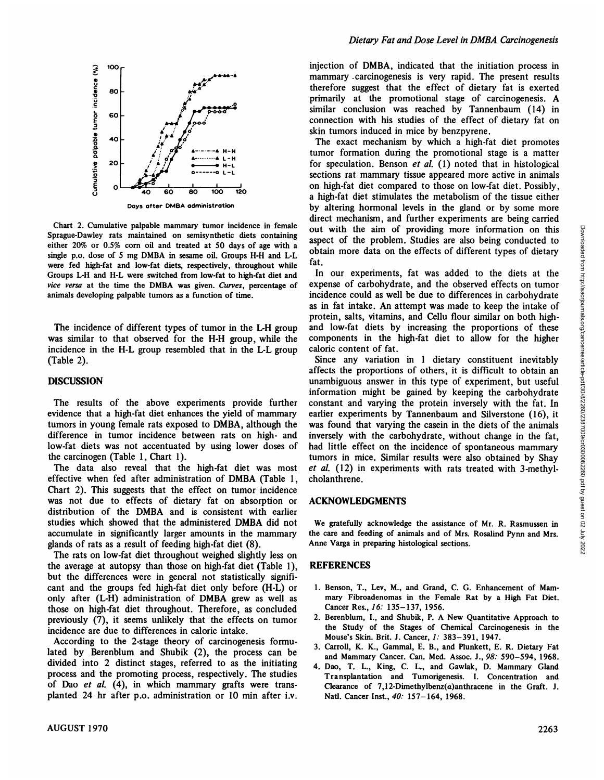

Days after DMBA administration

Chart 2. Cumulative palpable mammary tumor incidence in female Sprague-Dawley rats maintained on semisynthetic diets containing either 20% or 0.5% corn oil and treated at 50 days of age with a single p.o. dose of 5 mg DMBA in sesame oil. Groups H-H and L-L were fed high-fat and low-fat diets, respectively, throughout while Groups L-H and H-L were switched from low-fat to high-fat diet and *vice versa at the time the DMBA was given. Curves, percentage of* animals developing palpable tumors as a function of time.

The incidence of different types of tumor in the L-H group was similar to that observed for the H-H group, while the incidence in the H-L group resembled that in the L-L group (Table 2).

### **DISCUSSION**

The results of the above experiments provide further evidence that a high-fat diet enhances the yield of mammary tumors in young female rats exposed to DMBA, although the difference in tumor incidence between rats on high- and low-fat diets was not accentuated by using lower doses of the carcinogen (Table 1, Chart 1).

The data also reveal that the high-fat diet was most effective when fed after administration of DMBA (Table 1, Chart 2). This suggests that the effect on tumor incidence was not due to effects of dietary fat on absorption or distribution of the DMBA and is consistent with earlier studies which showed that the administered DMBA did not accumulate in significantly larger amounts in the mammary glands of rats as a result of feeding high-fat diet (8).

The rats on low-fat diet throughout weighed slightly less on the average at autopsy than those on high-fat diet (Table 1), but the differences were in general not statistically signifi cant and the groups fed high-fat diet only before (H-L) or only after (L-H) administration of DMBA grew as well as those on high-fat diet throughout. Therefore, as concluded previously (7), it seems unlikely that the effects on tumor incidence are due to differences in caloric intake.

According to the 2-stage theory of carcinogenesis formu lated by Berenblum and Shubik (2), the process can be divided into 2 distinct stages, referred to as the initiating process and the promoting process, respectively. The studies of Dao et al. (4), in which mammary grafts were transplanted 24 hr after p.o. administration or 10 min after i.v.

injection of DMBA, indicated that the initiation process in mammary -carcinogenesis is very rapid. The present results therefore suggest that the effect of dietary fat is exerted primarily at the promotional stage of carcinogenesis. A similar conclusion was reached by Tannenbaum (14) in connection with his studies of the effect of dietary fat on skin tumors induced in mice by benzpyrene.

The exact mechanism by which a high-fat diet promotes tumor formation during the promotional stage is a matter for speculation. Benson et al. (1) noted that in histological sections rat mammary tissue appeared more active in animals on high-fat diet compared to those on low-fat diet. Possibly, a high-fat diet stimulates the metabolism of the tissue either by altering hormonal levels in the gland or by some more direct mechanism, and further experiments are being carried aspect of the problem. Studies are also being conducted to obtain more data on the effects of different types of dietary fat.

In our experiments, fat was added to the diets at the expense of carbohydrate, and the observed effects on tumor incidence could as well be due to differences in carbohydrate as in fat intake. An attempt was made to keep the intake of protein, salts, vitamins, and Cellu flour similar on both highand low-fat diets by increasing the proportions of these components in the high-fat diet to allow for the higher caloric content of fat.

out with the aim of providing more information on this<br>asset of the problem. Studies are also being conducted to<br>botain more data on the effects of different types of detary<br>fat.<br>In our experiments, fat was added to the d Since any variation in 1 dietary constituent inevitably affects the proportions of others, it is difficult to obtain an unambiguous answer in this type of experiment, but useful information might be gained by keeping the carbohydrate constant and varying the protein inversely with the fat. In earlier experiments by Tannenbaum and Silverstone (16), it was found that varying the casein in the diets of the animals inversely with the carbohydrate, without change in the fat, had little effect on the incidence of spontaneous mammary tumors in mice. Similar results were also obtained by Shay *et al. (12) in experiments with rats treated with 3-methyl*cholanthrene.

#### **ACKNOWLEDGMENTS**

We gratefully acknowledge the assistance of Mr. R. Rasmussen in the care and feeding of animals and of Mrs. Rosalind Pynn and Mrs. Anne Varga in preparing histological sections.

## **REFERENCES**

- 1. Benson, T., Lev, M., and Grand, C. G. Enhancement of Mam mary Fibroadenomas in the Female Rat by a High Fat Diet. Cancer Res., 16: 135-137, 1956.
- 2. Berenblum, I., and Shubik, P. A New Quantitative Approach to the Study of the Stages of Chemical Carcinogenesis in the Mouse's Skin. Brit. J. Cancer, 1: 383-391, 1947.
- 3. Carroll, K. K., Gamrnal, E. B., and Plunkett, E. R. Dietary Fat and Mammary Cancer. Can. Med. Assoc. J., 98: 590-594, 1968.
- 4. Dao, T. L., King, C. L., and Gawlak, D. Mammary Gland Transplantation and Tumorigenesis. I. Concentration and Clearance of 7,12-Dimethylbenz(a)anthracene in the Graft. J. Natl. Cancer Inst., 40: 157-164, 1968.